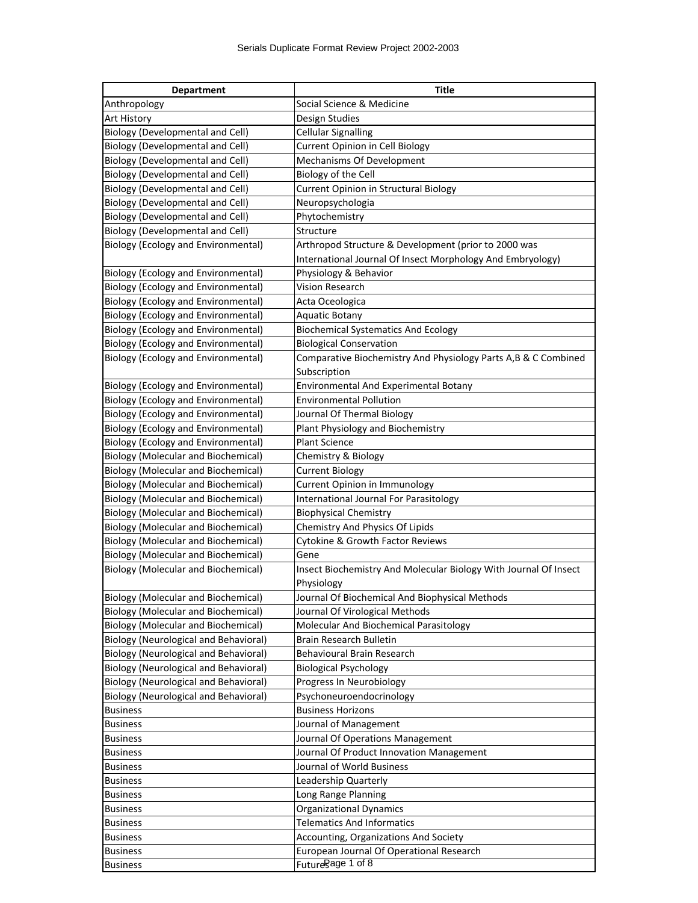| <b>Department</b>                            | <b>Title</b>                                                          |
|----------------------------------------------|-----------------------------------------------------------------------|
| Anthropology                                 | Social Science & Medicine                                             |
| <b>Art History</b>                           | Design Studies                                                        |
| <b>Biology (Developmental and Cell)</b>      | <b>Cellular Signalling</b>                                            |
| Biology (Developmental and Cell)             | Current Opinion in Cell Biology                                       |
| <b>Biology (Developmental and Cell)</b>      | Mechanisms Of Development                                             |
| <b>Biology (Developmental and Cell)</b>      | Biology of the Cell                                                   |
| <b>Biology (Developmental and Cell)</b>      | Current Opinion in Structural Biology                                 |
| <b>Biology (Developmental and Cell)</b>      | Neuropsychologia                                                      |
| Biology (Developmental and Cell)             | Phytochemistry                                                        |
| <b>Biology (Developmental and Cell)</b>      | Structure                                                             |
| <b>Biology (Ecology and Environmental)</b>   | Arthropod Structure & Development (prior to 2000 was                  |
|                                              | International Journal Of Insect Morphology And Embryology)            |
| <b>Biology (Ecology and Environmental)</b>   | Physiology & Behavior                                                 |
| <b>Biology (Ecology and Environmental)</b>   | Vision Research                                                       |
| <b>Biology (Ecology and Environmental)</b>   | Acta Oceologica                                                       |
| <b>Biology (Ecology and Environmental)</b>   | <b>Aquatic Botany</b>                                                 |
| <b>Biology (Ecology and Environmental)</b>   | <b>Biochemical Systematics And Ecology</b>                            |
| <b>Biology (Ecology and Environmental)</b>   | <b>Biological Conservation</b>                                        |
| <b>Biology (Ecology and Environmental)</b>   | Comparative Biochemistry And Physiology Parts A,B & C Combined        |
|                                              | Subscription                                                          |
| <b>Biology (Ecology and Environmental)</b>   | Environmental And Experimental Botany                                 |
| <b>Biology (Ecology and Environmental)</b>   | <b>Environmental Pollution</b>                                        |
| <b>Biology (Ecology and Environmental)</b>   | Journal Of Thermal Biology                                            |
| <b>Biology (Ecology and Environmental)</b>   | Plant Physiology and Biochemistry                                     |
| <b>Biology (Ecology and Environmental)</b>   | <b>Plant Science</b>                                                  |
| <b>Biology (Molecular and Biochemical)</b>   | Chemistry & Biology                                                   |
| <b>Biology (Molecular and Biochemical)</b>   | <b>Current Biology</b>                                                |
| <b>Biology (Molecular and Biochemical)</b>   | Current Opinion in Immunology                                         |
| <b>Biology (Molecular and Biochemical)</b>   | International Journal For Parasitology                                |
| <b>Biology (Molecular and Biochemical)</b>   | <b>Biophysical Chemistry</b>                                          |
| <b>Biology (Molecular and Biochemical)</b>   | Chemistry And Physics Of Lipids                                       |
| <b>Biology (Molecular and Biochemical)</b>   | Cytokine & Growth Factor Reviews                                      |
| <b>Biology (Molecular and Biochemical)</b>   | Gene                                                                  |
| <b>Biology (Molecular and Biochemical)</b>   | Insect Biochemistry And Molecular Biology With Journal Of Insect      |
|                                              | Physiology                                                            |
| <b>Biology (Molecular and Biochemical)</b>   | Journal Of Biochemical And Biophysical Methods                        |
| <b>Biology (Molecular and Biochemical)</b>   | Journal Of Virological Methods                                        |
| <b>Biology (Molecular and Biochemical)</b>   | Molecular And Biochemical Parasitology                                |
| Biology (Neurological and Behavioral)        | Brain Research Bulletin                                               |
| <b>Biology (Neurological and Behavioral)</b> | Behavioural Brain Research                                            |
| <b>Biology (Neurological and Behavioral)</b> | <b>Biological Psychology</b>                                          |
| <b>Biology (Neurological and Behavioral)</b> | Progress In Neurobiology                                              |
| <b>Biology (Neurological and Behavioral)</b> | Psychoneuroendocrinology<br><b>Business Horizons</b>                  |
| <b>Business</b>                              |                                                                       |
| <b>Business</b>                              | Journal of Management                                                 |
| <b>Business</b>                              | Journal Of Operations Management                                      |
| <b>Business</b><br><b>Business</b>           | Journal Of Product Innovation Management<br>Journal of World Business |
|                                              | Leadership Quarterly                                                  |
| <b>Business</b><br><b>Business</b>           | Long Range Planning                                                   |
| <b>Business</b>                              | <b>Organizational Dynamics</b>                                        |
| <b>Business</b>                              | <b>Telematics And Informatics</b>                                     |
| <b>Business</b>                              | Accounting, Organizations And Society                                 |
| <b>Business</b>                              | European Journal Of Operational Research                              |
| <b>Business</b>                              | Futuregage 1 of 8                                                     |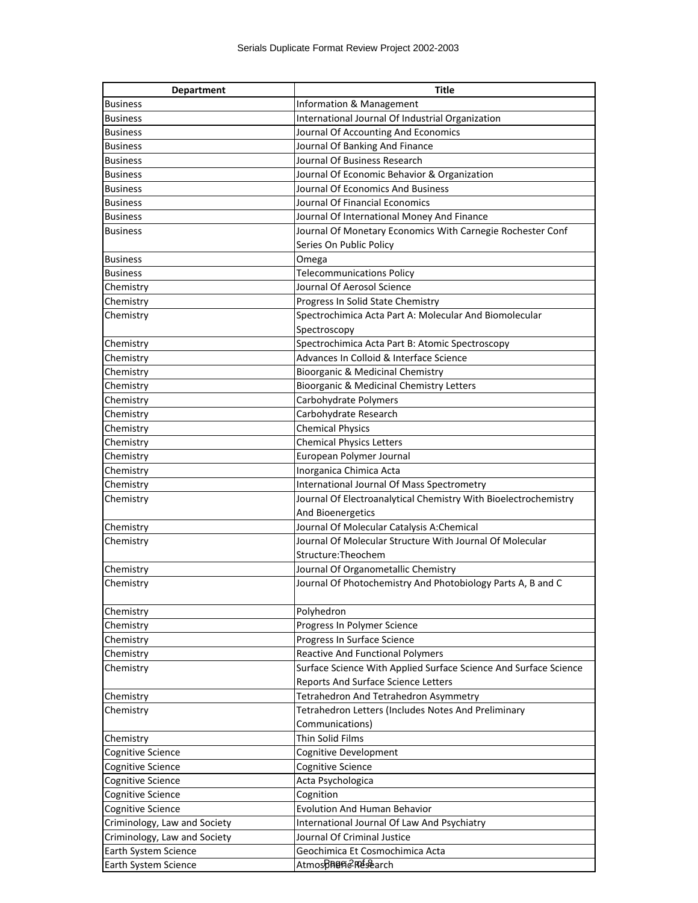| <b>Department</b>            | <b>Title</b>                                                     |
|------------------------------|------------------------------------------------------------------|
| <b>Business</b>              | Information & Management                                         |
| <b>Business</b>              | International Journal Of Industrial Organization                 |
| <b>Business</b>              | Journal Of Accounting And Economics                              |
| <b>Business</b>              | Journal Of Banking And Finance                                   |
| <b>Business</b>              | Journal Of Business Research                                     |
| <b>Business</b>              | Journal Of Economic Behavior & Organization                      |
| <b>Business</b>              | Journal Of Economics And Business                                |
| <b>Business</b>              | Journal Of Financial Economics                                   |
| <b>Business</b>              | Journal Of International Money And Finance                       |
| <b>Business</b>              | Journal Of Monetary Economics With Carnegie Rochester Conf       |
|                              | Series On Public Policy                                          |
| <b>Business</b>              | Omega                                                            |
| <b>Business</b>              | <b>Telecommunications Policy</b>                                 |
| Chemistry                    | Journal Of Aerosol Science                                       |
| Chemistry                    | Progress In Solid State Chemistry                                |
| Chemistry                    | Spectrochimica Acta Part A: Molecular And Biomolecular           |
|                              | Spectroscopy                                                     |
| Chemistry                    | Spectrochimica Acta Part B: Atomic Spectroscopy                  |
| Chemistry                    | Advances In Colloid & Interface Science                          |
| Chemistry                    | Bioorganic & Medicinal Chemistry                                 |
| Chemistry                    | Bioorganic & Medicinal Chemistry Letters                         |
| Chemistry                    | Carbohydrate Polymers                                            |
| Chemistry                    | Carbohydrate Research                                            |
| Chemistry                    | <b>Chemical Physics</b>                                          |
| Chemistry                    | <b>Chemical Physics Letters</b>                                  |
| Chemistry                    | European Polymer Journal                                         |
| Chemistry                    | Inorganica Chimica Acta                                          |
| Chemistry                    | International Journal Of Mass Spectrometry                       |
| Chemistry                    | Journal Of Electroanalytical Chemistry With Bioelectrochemistry  |
|                              | And Bioenergetics                                                |
| Chemistry                    | Journal Of Molecular Catalysis A:Chemical                        |
| Chemistry                    | Journal Of Molecular Structure With Journal Of Molecular         |
|                              | Structure: Theochem                                              |
| Chemistry                    | Journal Of Organometallic Chemistry                              |
| Chemistry                    | Journal Of Photochemistry And Photobiology Parts A, B and C      |
|                              |                                                                  |
| Chemistry                    | Polyhedron                                                       |
| Chemistry                    | Progress In Polymer Science                                      |
| Chemistry                    | Progress In Surface Science                                      |
| Chemistry                    | Reactive And Functional Polymers                                 |
| Chemistry                    | Surface Science With Applied Surface Science And Surface Science |
|                              | Reports And Surface Science Letters                              |
| Chemistry                    | Tetrahedron And Tetrahedron Asymmetry                            |
| Chemistry                    | Tetrahedron Letters (Includes Notes And Preliminary              |
|                              | Communications)                                                  |
| Chemistry                    | Thin Solid Films                                                 |
| Cognitive Science            | Cognitive Development                                            |
| Cognitive Science            | Cognitive Science                                                |
| Cognitive Science            | Acta Psychologica                                                |
| Cognitive Science            | Cognition                                                        |
| Cognitive Science            | Evolution And Human Behavior                                     |
| Criminology, Law and Society | International Journal Of Law And Psychiatry                      |
| Criminology, Law and Society | Journal Of Criminal Justice                                      |
| Earth System Science         | Geochimica Et Cosmochimica Acta                                  |
| Earth System Science         | AtmospR@Ref&arch                                                 |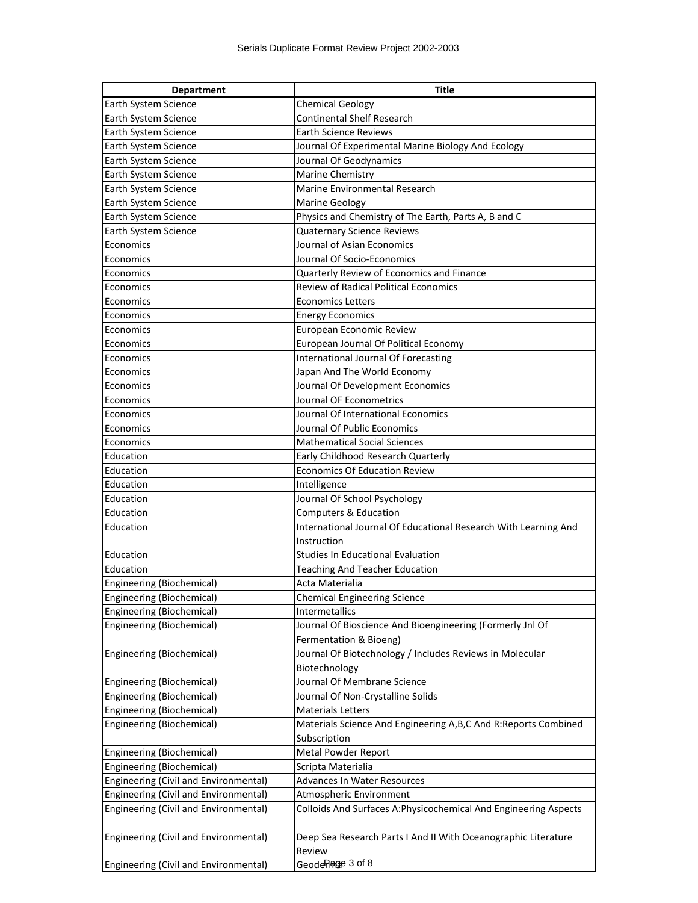| <b>Department</b>                     | <b>Title</b>                                                     |
|---------------------------------------|------------------------------------------------------------------|
| Earth System Science                  | <b>Chemical Geology</b>                                          |
| Earth System Science                  | <b>Continental Shelf Research</b>                                |
| Earth System Science                  | <b>Earth Science Reviews</b>                                     |
| Earth System Science                  | Journal Of Experimental Marine Biology And Ecology               |
| Earth System Science                  | Journal Of Geodynamics                                           |
| Earth System Science                  | Marine Chemistry                                                 |
| Earth System Science                  | Marine Environmental Research                                    |
| Earth System Science                  | <b>Marine Geology</b>                                            |
| Earth System Science                  | Physics and Chemistry of The Earth, Parts A, B and C             |
| Earth System Science                  | Quaternary Science Reviews                                       |
| Economics                             | Journal of Asian Economics                                       |
| Economics                             | Journal Of Socio-Economics                                       |
| Economics                             | Quarterly Review of Economics and Finance                        |
| Economics                             | <b>Review of Radical Political Economics</b>                     |
| Economics                             | <b>Economics Letters</b>                                         |
| Economics                             | <b>Energy Economics</b>                                          |
| Economics                             | European Economic Review                                         |
| Economics                             | European Journal Of Political Economy                            |
| Economics                             | International Journal Of Forecasting                             |
| Economics                             | Japan And The World Economy                                      |
| Economics                             | Journal Of Development Economics                                 |
| Economics                             | Journal OF Econometrics                                          |
| Economics                             | Journal Of International Economics                               |
| Economics                             | Journal Of Public Economics                                      |
| Economics                             | <b>Mathematical Social Sciences</b>                              |
| Education                             | Early Childhood Research Quarterly                               |
| Education                             | <b>Economics Of Education Review</b>                             |
| Education                             | Intelligence                                                     |
| Education                             | Journal Of School Psychology                                     |
| Education                             | Computers & Education                                            |
| Education                             | International Journal Of Educational Research With Learning And  |
|                                       | Instruction                                                      |
| Education                             | <b>Studies In Educational Evaluation</b>                         |
| Education                             | <b>Teaching And Teacher Education</b>                            |
| Engineering (Biochemical)             | Acta Materialia                                                  |
| Engineering (Biochemical)             | <b>Chemical Engineering Science</b>                              |
| Engineering (Biochemical)             | Intermetallics                                                   |
| Engineering (Biochemical)             | Journal Of Bioscience And Bioengineering (Formerly Jnl Of        |
|                                       | Fermentation & Bioeng)                                           |
| Engineering (Biochemical)             | Journal Of Biotechnology / Includes Reviews in Molecular         |
|                                       | Biotechnology                                                    |
| Engineering (Biochemical)             | Journal Of Membrane Science                                      |
| Engineering (Biochemical)             | Journal Of Non-Crystalline Solids                                |
| Engineering (Biochemical)             | <b>Materials Letters</b>                                         |
| Engineering (Biochemical)             | Materials Science And Engineering A,B,C And R:Reports Combined   |
|                                       | Subscription                                                     |
| Engineering (Biochemical)             | Metal Powder Report                                              |
| Engineering (Biochemical)             | Scripta Materialia                                               |
| Engineering (Civil and Environmental) | Advances In Water Resources                                      |
| Engineering (Civil and Environmental) | Atmospheric Environment                                          |
| Engineering (Civil and Environmental) | Colloids And Surfaces A: Physicochemical And Engineering Aspects |
| Engineering (Civil and Environmental) | Deep Sea Research Parts I And II With Oceanographic Literature   |
|                                       | Review                                                           |
| Engineering (Civil and Environmental) | Geoder <sub>Rage</sub> 3 of 8                                    |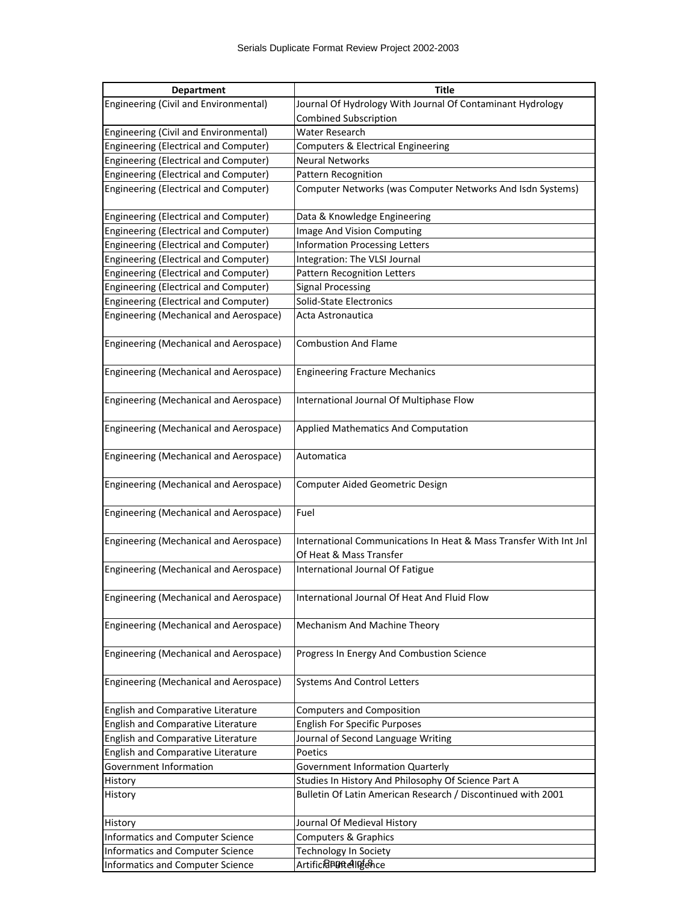| <b>Department</b>                                                        | Title                                                                      |
|--------------------------------------------------------------------------|----------------------------------------------------------------------------|
| Engineering (Civil and Environmental)                                    | Journal Of Hydrology With Journal Of Contaminant Hydrology                 |
|                                                                          | <b>Combined Subscription</b>                                               |
| Engineering (Civil and Environmental)                                    | Water Research                                                             |
| <b>Engineering (Electrical and Computer)</b>                             | Computers & Electrical Engineering                                         |
| <b>Engineering (Electrical and Computer)</b>                             | <b>Neural Networks</b>                                                     |
| Engineering (Electrical and Computer)                                    | Pattern Recognition                                                        |
| Engineering (Electrical and Computer)                                    | Computer Networks (was Computer Networks And Isdn Systems)                 |
|                                                                          |                                                                            |
| Engineering (Electrical and Computer)                                    | Data & Knowledge Engineering                                               |
| <b>Engineering (Electrical and Computer)</b>                             | Image And Vision Computing                                                 |
| <b>Engineering (Electrical and Computer)</b>                             | <b>Information Processing Letters</b>                                      |
| <b>Engineering (Electrical and Computer)</b>                             | Integration: The VLSI Journal                                              |
| <b>Engineering (Electrical and Computer)</b>                             | Pattern Recognition Letters                                                |
| Engineering (Electrical and Computer)                                    | <b>Signal Processing</b>                                                   |
| <b>Engineering (Electrical and Computer)</b>                             | Solid-State Electronics                                                    |
| Engineering (Mechanical and Aerospace)                                   | Acta Astronautica                                                          |
|                                                                          |                                                                            |
| Engineering (Mechanical and Aerospace)                                   | <b>Combustion And Flame</b>                                                |
|                                                                          |                                                                            |
| Engineering (Mechanical and Aerospace)                                   | <b>Engineering Fracture Mechanics</b>                                      |
|                                                                          |                                                                            |
| Engineering (Mechanical and Aerospace)                                   | International Journal Of Multiphase Flow                                   |
|                                                                          |                                                                            |
| Engineering (Mechanical and Aerospace)                                   | <b>Applied Mathematics And Computation</b>                                 |
|                                                                          |                                                                            |
| Engineering (Mechanical and Aerospace)                                   | Automatica                                                                 |
|                                                                          |                                                                            |
| Engineering (Mechanical and Aerospace)                                   | Computer Aided Geometric Design                                            |
|                                                                          |                                                                            |
| Engineering (Mechanical and Aerospace)                                   | Fuel                                                                       |
|                                                                          |                                                                            |
| Engineering (Mechanical and Aerospace)                                   | International Communications In Heat & Mass Transfer With Int Jnl          |
|                                                                          | Of Heat & Mass Transfer                                                    |
| Engineering (Mechanical and Aerospace)                                   | International Journal Of Fatigue                                           |
|                                                                          |                                                                            |
| Engineering (Mechanical and Aerospace)                                   | International Journal Of Heat And Fluid Flow                               |
|                                                                          |                                                                            |
| Engineering (Mechanical and Aerospace)                                   | Mechanism And Machine Theory                                               |
|                                                                          |                                                                            |
| Engineering (Mechanical and Aerospace)                                   | Progress In Energy And Combustion Science                                  |
|                                                                          |                                                                            |
| Engineering (Mechanical and Aerospace)                                   | <b>Systems And Control Letters</b>                                         |
|                                                                          | <b>Computers and Composition</b>                                           |
| English and Comparative Literature<br>English and Comparative Literature |                                                                            |
| English and Comparative Literature                                       | <b>English For Specific Purposes</b><br>Journal of Second Language Writing |
| English and Comparative Literature                                       | Poetics                                                                    |
| Government Information                                                   | <b>Government Information Quarterly</b>                                    |
| History                                                                  | Studies In History And Philosophy Of Science Part A                        |
|                                                                          | Bulletin Of Latin American Research / Discontinued with 2001               |
| History                                                                  |                                                                            |
| History                                                                  | Journal Of Medieval History                                                |
| <b>Informatics and Computer Science</b>                                  | Computers & Graphics                                                       |
| <b>Informatics and Computer Science</b>                                  | <b>Technology In Society</b>                                               |
| <b>Informatics and Computer Science</b>                                  | Artifici <mark>a Porte</mark> ll Perce                                     |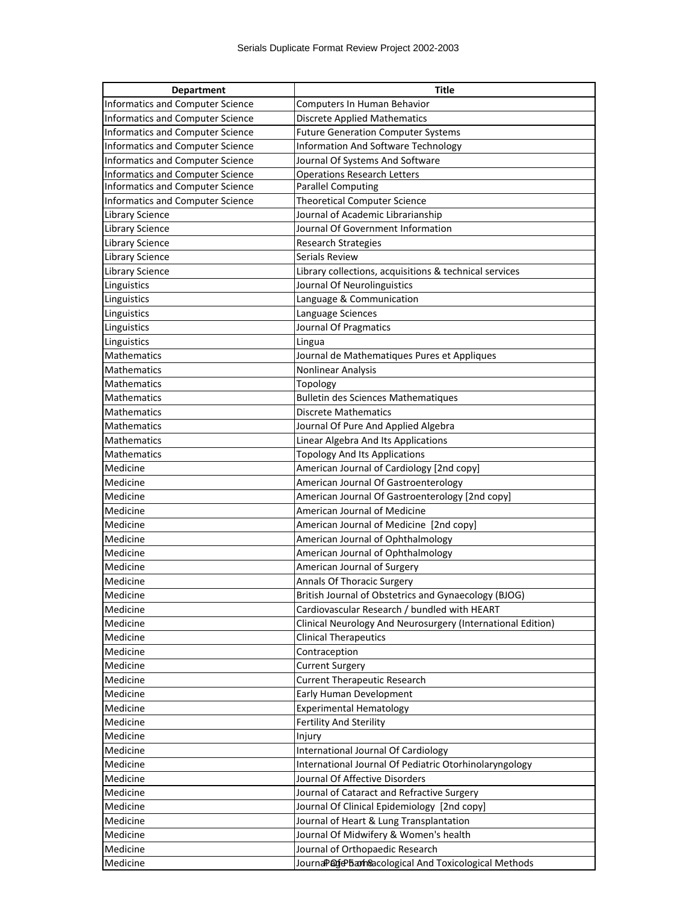| <b>Department</b>                       | <b>Title</b>                                                |
|-----------------------------------------|-------------------------------------------------------------|
| Informatics and Computer Science        | Computers In Human Behavior                                 |
| Informatics and Computer Science        | <b>Discrete Applied Mathematics</b>                         |
| Informatics and Computer Science        | <b>Future Generation Computer Systems</b>                   |
| Informatics and Computer Science        | Information And Software Technology                         |
| Informatics and Computer Science        | Journal Of Systems And Software                             |
| Informatics and Computer Science        | <b>Operations Research Letters</b>                          |
| <b>Informatics and Computer Science</b> | <b>Parallel Computing</b>                                   |
| <b>Informatics and Computer Science</b> | <b>Theoretical Computer Science</b>                         |
| <b>Library Science</b>                  | Journal of Academic Librarianship                           |
| <b>Library Science</b>                  | Journal Of Government Information                           |
| <b>Library Science</b>                  | <b>Research Strategies</b>                                  |
| <b>Library Science</b>                  | <b>Serials Review</b>                                       |
| <b>Library Science</b>                  | Library collections, acquisitions & technical services      |
| Linguistics                             | Journal Of Neurolinguistics                                 |
| Linguistics                             | Language & Communication                                    |
| Linguistics                             | Language Sciences                                           |
| Linguistics                             | Journal Of Pragmatics                                       |
| Linguistics                             | Lingua                                                      |
| <b>Mathematics</b>                      | Journal de Mathematiques Pures et Appliques                 |
| <b>Mathematics</b>                      | Nonlinear Analysis                                          |
| <b>Mathematics</b>                      | Topology                                                    |
| <b>Mathematics</b>                      | <b>Bulletin des Sciences Mathematiques</b>                  |
| Mathematics                             | Discrete Mathematics                                        |
| Mathematics                             | Journal Of Pure And Applied Algebra                         |
| <b>Mathematics</b>                      | Linear Algebra And Its Applications                         |
| Mathematics                             | Topology And Its Applications                               |
| Medicine                                | American Journal of Cardiology [2nd copy]                   |
| Medicine                                | American Journal Of Gastroenterology                        |
| Medicine                                | American Journal Of Gastroenterology [2nd copy]             |
| Medicine                                | American Journal of Medicine                                |
| Medicine                                | American Journal of Medicine [2nd copy]                     |
| Medicine                                | American Journal of Ophthalmology                           |
| Medicine                                | American Journal of Ophthalmology                           |
| Medicine                                | American Journal of Surgery                                 |
| Medicine                                | Annals Of Thoracic Surgery                                  |
| Medicine                                | British Journal of Obstetrics and Gynaecology (BJOG)        |
| Medicine                                | Cardiovascular Research / bundled with HEART                |
| Medicine                                | Clinical Neurology And Neurosurgery (International Edition) |
| Medicine                                | <b>Clinical Therapeutics</b>                                |
| Medicine                                | Contraception                                               |
| Medicine                                | <b>Current Surgery</b>                                      |
| Medicine                                | <b>Current Therapeutic Research</b>                         |
| Medicine                                | Early Human Development                                     |
| Medicine                                | <b>Experimental Hematology</b>                              |
| Medicine                                | Fertility And Sterility                                     |
| Medicine                                | Injury                                                      |
| Medicine                                | International Journal Of Cardiology                         |
| Medicine                                | International Journal Of Pediatric Otorhinolaryngology      |
| Medicine                                | Journal Of Affective Disorders                              |
| Medicine                                | Journal of Cataract and Refractive Surgery                  |
| Medicine                                | Journal Of Clinical Epidemiology [2nd copy]                 |
| Medicine                                | Journal of Heart & Lung Transplantation                     |
| Medicine                                | Journal Of Midwifery & Women's health                       |
| Medicine                                | Journal of Orthopaedic Research                             |
| Medicine                                | Journa Pade barh&cological And Toxicological Methods        |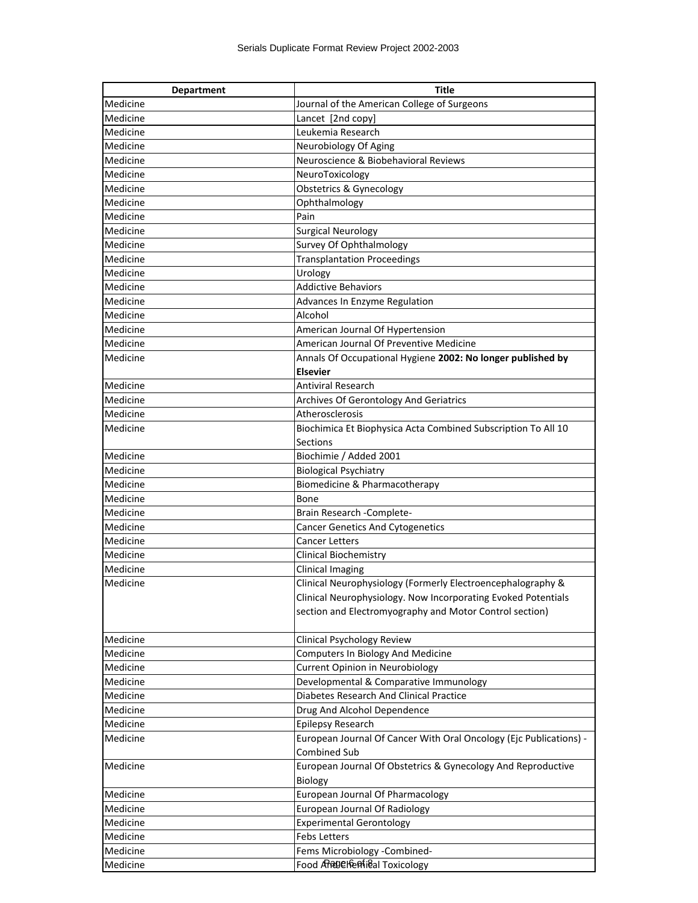| <b>Department</b> | <b>Title</b>                                                       |
|-------------------|--------------------------------------------------------------------|
| Medicine          | Journal of the American College of Surgeons                        |
| Medicine          | Lancet [2nd copy]                                                  |
| Medicine          | Leukemia Research                                                  |
| Medicine          | Neurobiology Of Aging                                              |
| Medicine          | Neuroscience & Biobehavioral Reviews                               |
| Medicine          | NeuroToxicology                                                    |
| Medicine          | Obstetrics & Gynecology                                            |
| Medicine          | Ophthalmology                                                      |
| Medicine          | Pain                                                               |
| Medicine          | <b>Surgical Neurology</b>                                          |
| Medicine          | Survey Of Ophthalmology                                            |
| Medicine          | <b>Transplantation Proceedings</b>                                 |
| Medicine          | Urology                                                            |
| Medicine          | <b>Addictive Behaviors</b>                                         |
| Medicine          | Advances In Enzyme Regulation                                      |
| Medicine          | Alcohol                                                            |
| Medicine          | American Journal Of Hypertension                                   |
| Medicine          | American Journal Of Preventive Medicine                            |
| Medicine          | Annals Of Occupational Hygiene 2002: No longer published by        |
|                   | <b>Elsevier</b>                                                    |
| Medicine          | <b>Antiviral Research</b>                                          |
| Medicine          | Archives Of Gerontology And Geriatrics                             |
| Medicine          | Atherosclerosis                                                    |
| Medicine          | Biochimica Et Biophysica Acta Combined Subscription To All 10      |
|                   | <b>Sections</b>                                                    |
| Medicine          | Biochimie / Added 2001                                             |
| Medicine          | <b>Biological Psychiatry</b>                                       |
| Medicine          | Biomedicine & Pharmacotherapy                                      |
| Medicine          | Bone                                                               |
| Medicine          | Brain Research - Complete-                                         |
| Medicine          | <b>Cancer Genetics And Cytogenetics</b>                            |
| Medicine          | <b>Cancer Letters</b>                                              |
| Medicine          | Clinical Biochemistry                                              |
| Medicine          | Clinical Imaging                                                   |
| Medicine          | Clinical Neurophysiology (Formerly Electroencephalography &        |
|                   | Clinical Neurophysiology. Now Incorporating Evoked Potentials      |
|                   | section and Electromyography and Motor Control section)            |
|                   |                                                                    |
| Medicine          | Clinical Psychology Review                                         |
| Medicine          | Computers In Biology And Medicine                                  |
| Medicine          | Current Opinion in Neurobiology                                    |
| Medicine          | Developmental & Comparative Immunology                             |
| Medicine          | Diabetes Research And Clinical Practice                            |
| Medicine          | Drug And Alcohol Dependence                                        |
| Medicine          | Epilepsy Research                                                  |
| Medicine          | European Journal Of Cancer With Oral Oncology (Ejc Publications) - |
|                   | <b>Combined Sub</b>                                                |
| Medicine          | European Journal Of Obstetrics & Gynecology And Reproductive       |
|                   | Biology                                                            |
| Medicine          | European Journal Of Pharmacology                                   |
| Medicine          | European Journal Of Radiology                                      |
| Medicine          | <b>Experimental Gerontology</b>                                    |
| Medicine          | <b>Febs Letters</b>                                                |
| Medicine          | Fems Microbiology -Combined-                                       |
| Medicine          | Food A Regel feeting al Toxicology                                 |
|                   |                                                                    |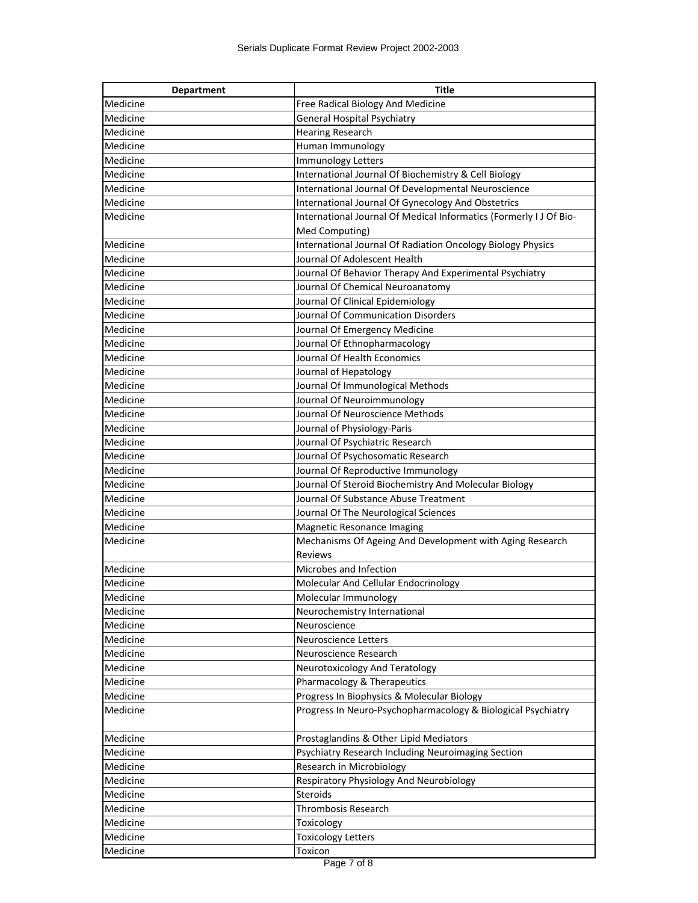| <b>Department</b> | <b>Title</b>                                                       |
|-------------------|--------------------------------------------------------------------|
| Medicine          | Free Radical Biology And Medicine                                  |
| Medicine          | <b>General Hospital Psychiatry</b>                                 |
| Medicine          | <b>Hearing Research</b>                                            |
| Medicine          | Human Immunology                                                   |
| Medicine          | Immunology Letters                                                 |
| Medicine          | International Journal Of Biochemistry & Cell Biology               |
| Medicine          | International Journal Of Developmental Neuroscience                |
| Medicine          | International Journal Of Gynecology And Obstetrics                 |
| Medicine          | International Journal Of Medical Informatics (Formerly I J Of Bio- |
|                   | Med Computing)                                                     |
| Medicine          | International Journal Of Radiation Oncology Biology Physics        |
| Medicine          | Journal Of Adolescent Health                                       |
| Medicine          | Journal Of Behavior Therapy And Experimental Psychiatry            |
| Medicine          | Journal Of Chemical Neuroanatomy                                   |
| Medicine          | Journal Of Clinical Epidemiology                                   |
| Medicine          | Journal Of Communication Disorders                                 |
| Medicine          | Journal Of Emergency Medicine                                      |
| Medicine          | Journal Of Ethnopharmacology                                       |
| Medicine          | Journal Of Health Economics                                        |
| Medicine          | Journal of Hepatology                                              |
| Medicine          | Journal Of Immunological Methods                                   |
| Medicine          | Journal Of Neuroimmunology                                         |
| Medicine          | Journal Of Neuroscience Methods                                    |
| Medicine          | Journal of Physiology-Paris                                        |
| Medicine          | Journal Of Psychiatric Research                                    |
| Medicine          | Journal Of Psychosomatic Research                                  |
| Medicine          | Journal Of Reproductive Immunology                                 |
| Medicine          | Journal Of Steroid Biochemistry And Molecular Biology              |
| Medicine          | Journal Of Substance Abuse Treatment                               |
| Medicine          | Journal Of The Neurological Sciences                               |
| Medicine          | Magnetic Resonance Imaging                                         |
| Medicine          | Mechanisms Of Ageing And Development with Aging Research           |
|                   | Reviews                                                            |
| Medicine          | Microbes and Infection                                             |
| Medicine          | Molecular And Cellular Endocrinology                               |
| Medicine          | Molecular Immunology                                               |
| Medicine          | Neurochemistry International                                       |
| Medicine          | Neuroscience                                                       |
| Medicine          | Neuroscience Letters                                               |
| Medicine          | Neuroscience Research                                              |
| Medicine          | Neurotoxicology And Teratology                                     |
| Medicine          | Pharmacology & Therapeutics                                        |
| Medicine          | Progress In Biophysics & Molecular Biology                         |
| Medicine          | Progress In Neuro-Psychopharmacology & Biological Psychiatry       |
| Medicine          | Prostaglandins & Other Lipid Mediators                             |
| Medicine          | Psychiatry Research Including Neuroimaging Section                 |
| Medicine          | Research in Microbiology                                           |
| Medicine          | Respiratory Physiology And Neurobiology                            |
| Medicine          | Steroids                                                           |
| Medicine          | Thrombosis Research                                                |
| Medicine          | Toxicology                                                         |
| Medicine          |                                                                    |
|                   | <b>Toxicology Letters</b>                                          |